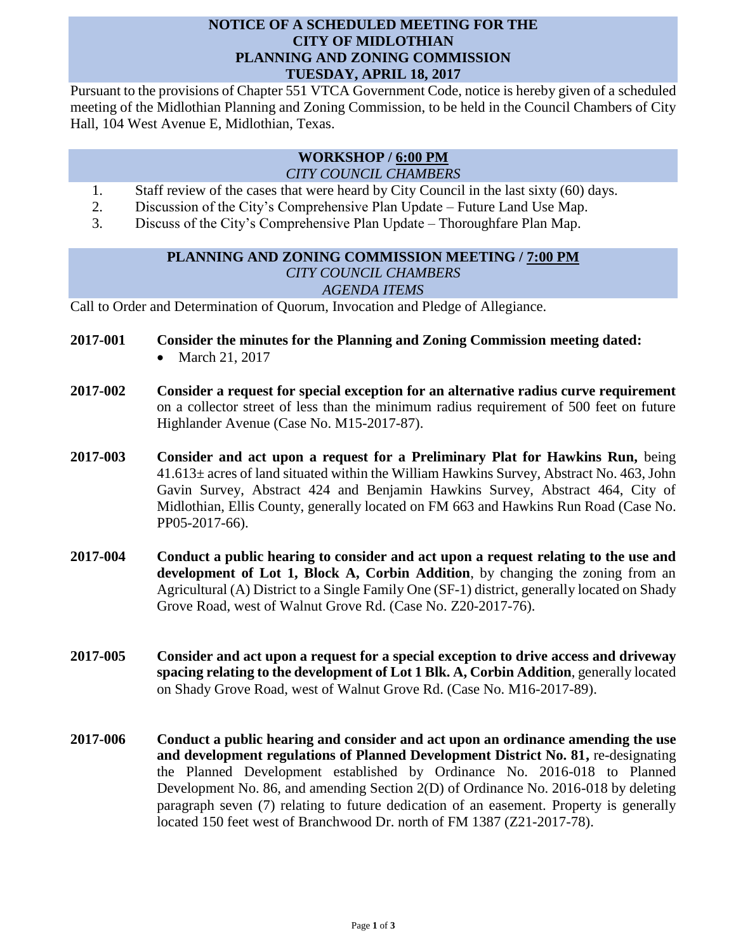## **NOTICE OF A SCHEDULED MEETING FOR THE CITY OF MIDLOTHIAN PLANNING AND ZONING COMMISSION TUESDAY, APRIL 18, 2017**

Pursuant to the provisions of Chapter 551 VTCA Government Code, notice is hereby given of a scheduled meeting of the Midlothian Planning and Zoning Commission, to be held in the Council Chambers of City Hall, 104 West Avenue E, Midlothian, Texas.

## **WORKSHOP / 6:00 PM** *CITY COUNCIL CHAMBERS*

- 1. Staff review of the cases that were heard by City Council in the last sixty (60) days.
- 2. Discussion of the City's Comprehensive Plan Update Future Land Use Map.
- 3. Discuss of the City's Comprehensive Plan Update Thoroughfare Plan Map.

## **PLANNING AND ZONING COMMISSION MEETING / 7:00 PM** *CITY COUNCIL CHAMBERS AGENDA ITEMS*

Call to Order and Determination of Quorum, Invocation and Pledge of Allegiance.

- **2017-001 Consider the minutes for the Planning and Zoning Commission meeting dated:** 
	- March 21, 2017
- **2017-002 Consider a request for special exception for an alternative radius curve requirement**  on a collector street of less than the minimum radius requirement of 500 feet on future Highlander Avenue (Case No. M15-2017-87).
- **2017-003 Consider and act upon a request for a Preliminary Plat for Hawkins Run,** being  $41.613\pm$  acres of land situated within the William Hawkins Survey, Abstract No. 463, John Gavin Survey, Abstract 424 and Benjamin Hawkins Survey, Abstract 464, City of Midlothian, Ellis County, generally located on FM 663 and Hawkins Run Road (Case No. PP05-2017-66).
- **2017-004 Conduct a public hearing to consider and act upon a request relating to the use and development of Lot 1, Block A, Corbin Addition**, by changing the zoning from an Agricultural (A) District to a Single Family One (SF-1) district, generally located on Shady Grove Road, west of Walnut Grove Rd. (Case No. Z20-2017-76).
- **2017-005 Consider and act upon a request for a special exception to drive access and driveway spacing relating to the development of Lot 1 Blk. A, Corbin Addition**, generally located on Shady Grove Road, west of Walnut Grove Rd. (Case No. M16-2017-89).
- **2017-006 Conduct a public hearing and consider and act upon an ordinance amending the use and development regulations of Planned Development District No. 81,** re-designating the Planned Development established by Ordinance No. 2016-018 to Planned Development No. 86, and amending Section 2(D) of Ordinance No. 2016-018 by deleting paragraph seven (7) relating to future dedication of an easement. Property is generally located 150 feet west of Branchwood Dr. north of FM 1387 (Z21-2017-78).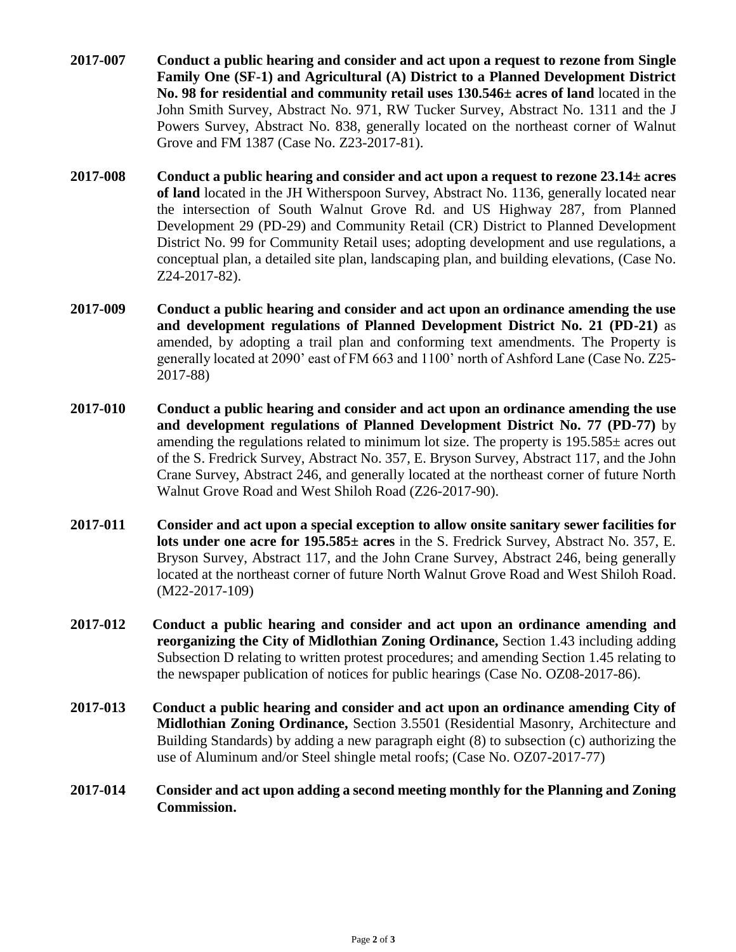- **2017-007 Conduct a public hearing and consider and act upon a request to rezone from Single Family One (SF-1) and Agricultural (A) District to a Planned Development District No. 98 for residential and community retail uses 130.546± acres of land** located in the John Smith Survey, Abstract No. 971, RW Tucker Survey, Abstract No. 1311 and the J Powers Survey, Abstract No. 838, generally located on the northeast corner of Walnut Grove and FM 1387 (Case No. Z23-2017-81).
- **2017-008 Conduct a public hearing and consider and act upon a request to rezone 23.14± acres of land** located in the JH Witherspoon Survey, Abstract No. 1136, generally located near the intersection of South Walnut Grove Rd. and US Highway 287, from Planned Development 29 (PD-29) and Community Retail (CR) District to Planned Development District No. 99 for Community Retail uses; adopting development and use regulations, a conceptual plan, a detailed site plan, landscaping plan, and building elevations, (Case No. Z24-2017-82).
- **2017-009 Conduct a public hearing and consider and act upon an ordinance amending the use and development regulations of Planned Development District No. 21 (PD-21)** as amended, by adopting a trail plan and conforming text amendments. The Property is generally located at 2090' east of FM 663 and 1100' north of Ashford Lane (Case No. Z25- 2017-88)
- **2017-010 Conduct a public hearing and consider and act upon an ordinance amending the use and development regulations of Planned Development District No. 77 (PD-77)** by amending the regulations related to minimum lot size. The property is  $195.585\pm$  acres out of the S. Fredrick Survey, Abstract No. 357, E. Bryson Survey, Abstract 117, and the John Crane Survey, Abstract 246, and generally located at the northeast corner of future North Walnut Grove Road and West Shiloh Road (Z26-2017-90).
- **2017-011 Consider and act upon a special exception to allow onsite sanitary sewer facilities for lots under one acre for 195.585± acres** in the S. Fredrick Survey, Abstract No. 357, E. Bryson Survey, Abstract 117, and the John Crane Survey, Abstract 246, being generally located at the northeast corner of future North Walnut Grove Road and West Shiloh Road. (M22-2017-109)
- **2017-012 Conduct a public hearing and consider and act upon an ordinance amending and reorganizing the City of Midlothian Zoning Ordinance,** Section 1.43 including adding Subsection D relating to written protest procedures; and amending Section 1.45 relating to the newspaper publication of notices for public hearings (Case No. OZ08-2017-86).
- **2017-013 Conduct a public hearing and consider and act upon an ordinance amending City of Midlothian Zoning Ordinance,** Section 3.5501 (Residential Masonry, Architecture and Building Standards) by adding a new paragraph eight (8) to subsection (c) authorizing the use of Aluminum and/or Steel shingle metal roofs; (Case No. OZ07-2017-77)
- **2017-014 Consider and act upon adding a second meeting monthly for the Planning and Zoning Commission.**